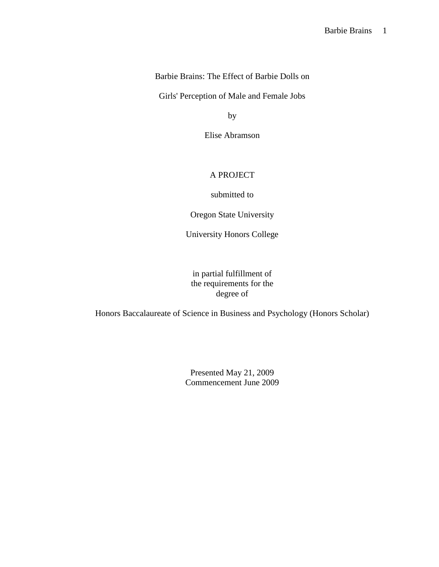Barbie Brains: The Effect of Barbie Dolls on

Girls' Perception of Male and Female Jobs

by

Elise Abramson

# A PROJECT

submitted to

Oregon State University

University Honors College

in partial fulfillment of the requirements for the degree of

Honors Baccalaureate of Science in Business and Psychology (Honors Scholar)

Presented May 21, 2009 Commencement June 2009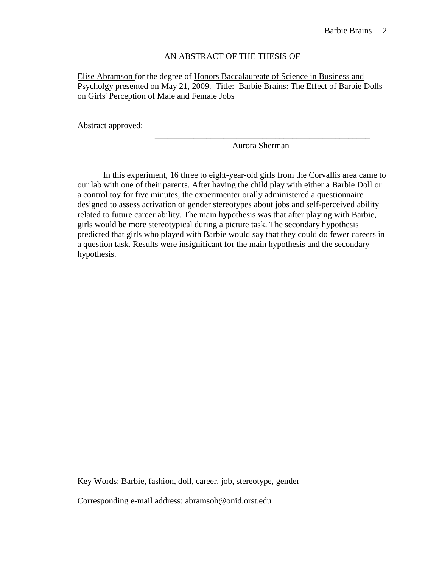# AN ABSTRACT OF THE THESIS OF

Elise Abramson for the degree of Honors Baccalaureate of Science in Business and Psycholgy presented on May 21, 2009. Title: Barbie Brains: The Effect of Barbie Dolls on Girls' Perception of Male and Female Jobs

\_\_\_\_\_\_\_\_\_\_\_\_\_\_\_\_\_\_\_\_\_\_\_\_\_\_\_\_\_\_\_\_\_\_\_\_\_\_\_\_\_\_\_\_\_\_\_\_\_\_

Abstract approved:

Aurora Sherman

 In this experiment, 16 three to eight-year-old girls from the Corvallis area came to our lab with one of their parents. After having the child play with either a Barbie Doll or a control toy for five minutes, the experimenter orally administered a questionnaire designed to assess activation of gender stereotypes about jobs and self-perceived ability related to future career ability. The main hypothesis was that after playing with Barbie, girls would be more stereotypical during a picture task. The secondary hypothesis predicted that girls who played with Barbie would say that they could do fewer careers in a question task. Results were insignificant for the main hypothesis and the secondary hypothesis.

Key Words: Barbie, fashion, doll, career, job, stereotype, gender Corresponding e-mail address: abramsoh@onid.orst.edu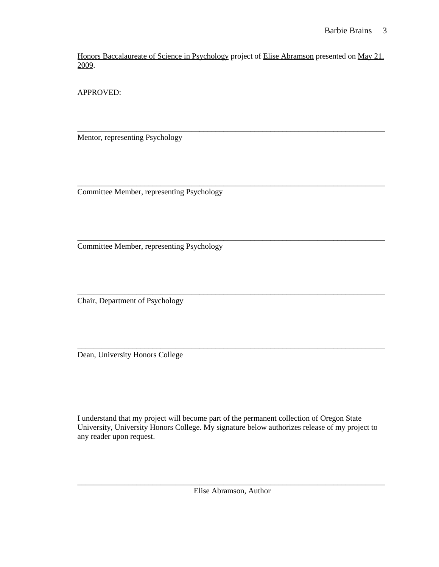Honors Baccalaureate of Science in Psychology project of Elise Abramson presented on May 21, 2009.

\_\_\_\_\_\_\_\_\_\_\_\_\_\_\_\_\_\_\_\_\_\_\_\_\_\_\_\_\_\_\_\_\_\_\_\_\_\_\_\_\_\_\_\_\_\_\_\_\_\_\_\_\_\_\_\_\_\_\_\_\_\_\_\_\_\_\_\_\_\_\_\_\_\_\_\_\_\_

\_\_\_\_\_\_\_\_\_\_\_\_\_\_\_\_\_\_\_\_\_\_\_\_\_\_\_\_\_\_\_\_\_\_\_\_\_\_\_\_\_\_\_\_\_\_\_\_\_\_\_\_\_\_\_\_\_\_\_\_\_\_\_\_\_\_\_\_\_\_\_\_\_\_\_\_\_\_

\_\_\_\_\_\_\_\_\_\_\_\_\_\_\_\_\_\_\_\_\_\_\_\_\_\_\_\_\_\_\_\_\_\_\_\_\_\_\_\_\_\_\_\_\_\_\_\_\_\_\_\_\_\_\_\_\_\_\_\_\_\_\_\_\_\_\_\_\_\_\_\_\_\_\_\_\_\_

\_\_\_\_\_\_\_\_\_\_\_\_\_\_\_\_\_\_\_\_\_\_\_\_\_\_\_\_\_\_\_\_\_\_\_\_\_\_\_\_\_\_\_\_\_\_\_\_\_\_\_\_\_\_\_\_\_\_\_\_\_\_\_\_\_\_\_\_\_\_\_\_\_\_\_\_\_\_

APPROVED:

Mentor, representing Psychology

\_\_\_\_\_\_\_\_\_\_\_\_\_\_\_\_\_\_\_\_\_\_\_\_\_\_\_\_\_\_\_\_\_\_\_\_\_\_\_\_\_\_\_\_\_\_\_\_\_\_\_\_\_\_\_\_\_\_\_\_\_\_\_\_\_\_\_\_\_\_\_\_\_\_\_\_\_\_ Committee Member, representing Psychology

Committee Member, representing Psychology

Chair, Department of Psychology

Dean, University Honors College

I understand that my project will become part of the permanent collection of Oregon State University, University Honors College. My signature below authorizes release of my project to any reader upon request.

\_\_\_\_\_\_\_\_\_\_\_\_\_\_\_\_\_\_\_\_\_\_\_\_\_\_\_\_\_\_\_\_\_\_\_\_\_\_\_\_\_\_\_\_\_\_\_\_\_\_\_\_\_\_\_\_\_\_\_\_\_\_\_\_\_\_\_\_\_\_\_\_\_\_\_\_\_\_ Elise Abramson, Author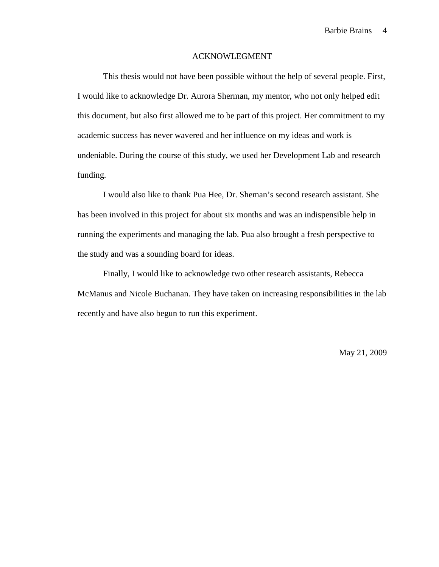### ACKNOWLEGMENT

 This thesis would not have been possible without the help of several people. First, I would like to acknowledge Dr. Aurora Sherman, my mentor, who not only helped edit this document, but also first allowed me to be part of this project. Her commitment to my academic success has never wavered and her influence on my ideas and work is undeniable. During the course of this study, we used her Development Lab and research funding.

 I would also like to thank Pua Hee, Dr. Sheman's second research assistant. She has been involved in this project for about six months and was an indispensible help in running the experiments and managing the lab. Pua also brought a fresh perspective to the study and was a sounding board for ideas.

 Finally, I would like to acknowledge two other research assistants, Rebecca McManus and Nicole Buchanan. They have taken on increasing responsibilities in the lab recently and have also begun to run this experiment.

May 21, 2009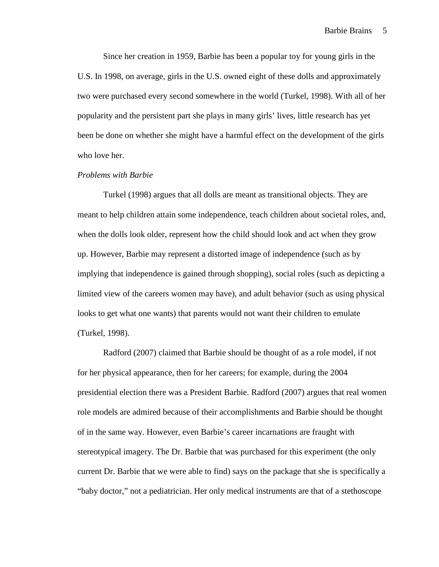Since her creation in 1959, Barbie has been a popular toy for young girls in the U.S. In 1998, on average, girls in the U.S. owned eight of these dolls and approximately two were purchased every second somewhere in the world (Turkel, 1998). With all of her popularity and the persistent part she plays in many girls' lives, little research has yet been be done on whether she might have a harmful effect on the development of the girls who love her.

#### *Problems with Barbie*

Turkel (1998) argues that all dolls are meant as transitional objects. They are meant to help children attain some independence, teach children about societal roles, and, when the dolls look older, represent how the child should look and act when they grow up. However, Barbie may represent a distorted image of independence (such as by implying that independence is gained through shopping), social roles (such as depicting a limited view of the careers women may have), and adult behavior (such as using physical looks to get what one wants) that parents would not want their children to emulate (Turkel, 1998).

Radford (2007) claimed that Barbie should be thought of as a role model, if not for her physical appearance, then for her careers; for example, during the 2004 presidential election there was a President Barbie. Radford (2007) argues that real women role models are admired because of their accomplishments and Barbie should be thought of in the same way. However, even Barbie's career incarnations are fraught with stereotypical imagery. The Dr. Barbie that was purchased for this experiment (the only current Dr. Barbie that we were able to find) says on the package that she is specifically a "baby doctor," not a pediatrician. Her only medical instruments are that of a stethoscope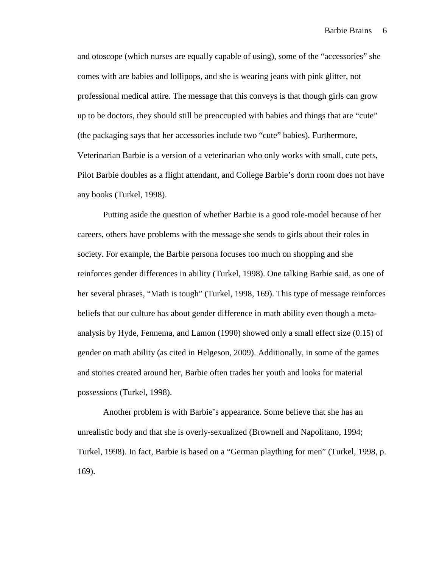and otoscope (which nurses are equally capable of using), some of the "accessories" she comes with are babies and lollipops, and she is wearing jeans with pink glitter, not professional medical attire. The message that this conveys is that though girls can grow up to be doctors, they should still be preoccupied with babies and things that are "cute" (the packaging says that her accessories include two "cute" babies). Furthermore, Veterinarian Barbie is a version of a veterinarian who only works with small, cute pets, Pilot Barbie doubles as a flight attendant, and College Barbie's dorm room does not have any books (Turkel, 1998).

Putting aside the question of whether Barbie is a good role-model because of her careers, others have problems with the message she sends to girls about their roles in society. For example, the Barbie persona focuses too much on shopping and she reinforces gender differences in ability (Turkel, 1998). One talking Barbie said, as one of her several phrases, "Math is tough" (Turkel, 1998, 169). This type of message reinforces beliefs that our culture has about gender difference in math ability even though a metaanalysis by Hyde, Fennema, and Lamon (1990) showed only a small effect size (0.15) of gender on math ability (as cited in Helgeson, 2009). Additionally, in some of the games and stories created around her, Barbie often trades her youth and looks for material possessions (Turkel, 1998).

Another problem is with Barbie's appearance. Some believe that she has an unrealistic body and that she is overly-sexualized (Brownell and Napolitano, 1994; Turkel, 1998). In fact, Barbie is based on a "German plaything for men" (Turkel, 1998, p. 169).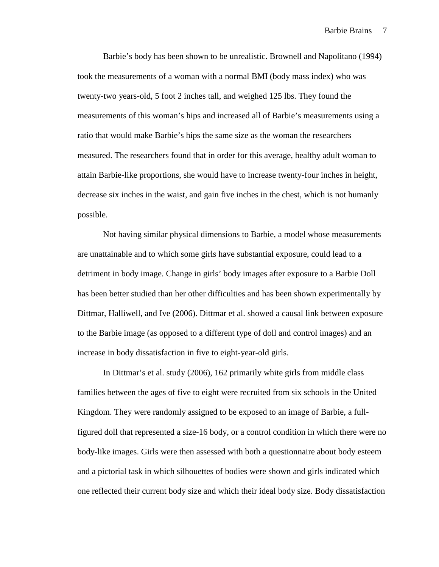Barbie's body has been shown to be unrealistic. Brownell and Napolitano (1994) took the measurements of a woman with a normal BMI (body mass index) who was twenty-two years-old, 5 foot 2 inches tall, and weighed 125 lbs. They found the measurements of this woman's hips and increased all of Barbie's measurements using a ratio that would make Barbie's hips the same size as the woman the researchers measured. The researchers found that in order for this average, healthy adult woman to attain Barbie-like proportions, she would have to increase twenty-four inches in height, decrease six inches in the waist, and gain five inches in the chest, which is not humanly possible.

Not having similar physical dimensions to Barbie, a model whose measurements are unattainable and to which some girls have substantial exposure, could lead to a detriment in body image. Change in girls' body images after exposure to a Barbie Doll has been better studied than her other difficulties and has been shown experimentally by Dittmar, Halliwell, and Ive (2006). Dittmar et al. showed a causal link between exposure to the Barbie image (as opposed to a different type of doll and control images) and an increase in body dissatisfaction in five to eight-year-old girls.

In Dittmar's et al. study (2006), 162 primarily white girls from middle class families between the ages of five to eight were recruited from six schools in the United Kingdom. They were randomly assigned to be exposed to an image of Barbie, a fullfigured doll that represented a size-16 body, or a control condition in which there were no body-like images. Girls were then assessed with both a questionnaire about body esteem and a pictorial task in which silhouettes of bodies were shown and girls indicated which one reflected their current body size and which their ideal body size. Body dissatisfaction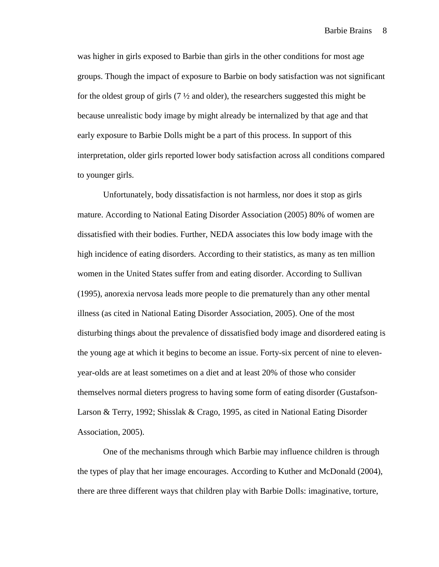was higher in girls exposed to Barbie than girls in the other conditions for most age groups. Though the impact of exposure to Barbie on body satisfaction was not significant for the oldest group of girls  $(7 \frac{1}{2})$  and older), the researchers suggested this might be because unrealistic body image by might already be internalized by that age and that early exposure to Barbie Dolls might be a part of this process. In support of this interpretation, older girls reported lower body satisfaction across all conditions compared to younger girls.

Unfortunately, body dissatisfaction is not harmless, nor does it stop as girls mature. According to National Eating Disorder Association (2005) 80% of women are dissatisfied with their bodies. Further, NEDA associates this low body image with the high incidence of eating disorders. According to their statistics, as many as ten million women in the United States suffer from and eating disorder. According to Sullivan (1995), anorexia nervosa leads more people to die prematurely than any other mental illness (as cited in National Eating Disorder Association, 2005). One of the most disturbing things about the prevalence of dissatisfied body image and disordered eating is the young age at which it begins to become an issue. Forty-six percent of nine to elevenyear-olds are at least sometimes on a diet and at least 20% of those who consider themselves normal dieters progress to having some form of eating disorder (Gustafson-Larson & Terry, 1992; Shisslak & Crago, 1995, as cited in National Eating Disorder Association, 2005).

One of the mechanisms through which Barbie may influence children is through the types of play that her image encourages. According to Kuther and McDonald (2004), there are three different ways that children play with Barbie Dolls: imaginative, torture,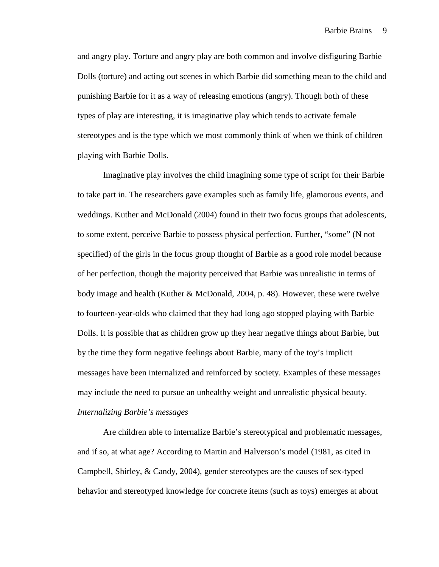and angry play. Torture and angry play are both common and involve disfiguring Barbie Dolls (torture) and acting out scenes in which Barbie did something mean to the child and punishing Barbie for it as a way of releasing emotions (angry). Though both of these types of play are interesting, it is imaginative play which tends to activate female stereotypes and is the type which we most commonly think of when we think of children playing with Barbie Dolls.

Imaginative play involves the child imagining some type of script for their Barbie to take part in. The researchers gave examples such as family life, glamorous events, and weddings. Kuther and McDonald (2004) found in their two focus groups that adolescents, to some extent, perceive Barbie to possess physical perfection. Further, "some" (N not specified) of the girls in the focus group thought of Barbie as a good role model because of her perfection, though the majority perceived that Barbie was unrealistic in terms of body image and health (Kuther & McDonald, 2004, p. 48). However, these were twelve to fourteen-year-olds who claimed that they had long ago stopped playing with Barbie Dolls. It is possible that as children grow up they hear negative things about Barbie, but by the time they form negative feelings about Barbie, many of the toy's implicit messages have been internalized and reinforced by society. Examples of these messages may include the need to pursue an unhealthy weight and unrealistic physical beauty. *Internalizing Barbie's messages* 

 Are children able to internalize Barbie's stereotypical and problematic messages, and if so, at what age? According to Martin and Halverson's model (1981, as cited in Campbell, Shirley, & Candy, 2004), gender stereotypes are the causes of sex-typed behavior and stereotyped knowledge for concrete items (such as toys) emerges at about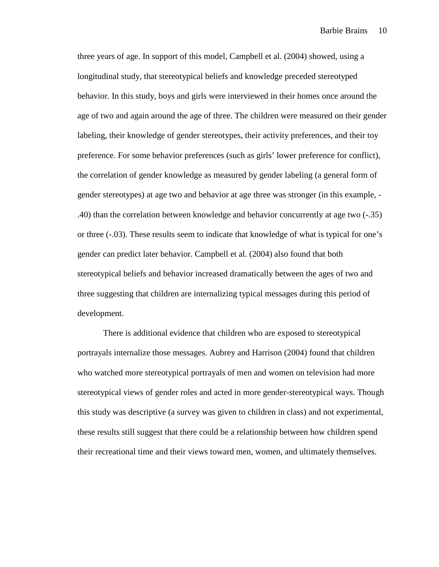three years of age. In support of this model, Campbell et al. (2004) showed, using a longitudinal study, that stereotypical beliefs and knowledge preceded stereotyped behavior. In this study, boys and girls were interviewed in their homes once around the age of two and again around the age of three. The children were measured on their gender labeling, their knowledge of gender stereotypes, their activity preferences, and their toy preference. For some behavior preferences (such as girls' lower preference for conflict), the correlation of gender knowledge as measured by gender labeling (a general form of gender stereotypes) at age two and behavior at age three was stronger (in this example, - .40) than the correlation between knowledge and behavior concurrently at age two (-.35) or three (-.03). These results seem to indicate that knowledge of what is typical for one's gender can predict later behavior. Campbell et al. (2004) also found that both stereotypical beliefs and behavior increased dramatically between the ages of two and three suggesting that children are internalizing typical messages during this period of development.

 There is additional evidence that children who are exposed to stereotypical portrayals internalize those messages. Aubrey and Harrison (2004) found that children who watched more stereotypical portrayals of men and women on television had more stereotypical views of gender roles and acted in more gender-stereotypical ways. Though this study was descriptive (a survey was given to children in class) and not experimental, these results still suggest that there could be a relationship between how children spend their recreational time and their views toward men, women, and ultimately themselves.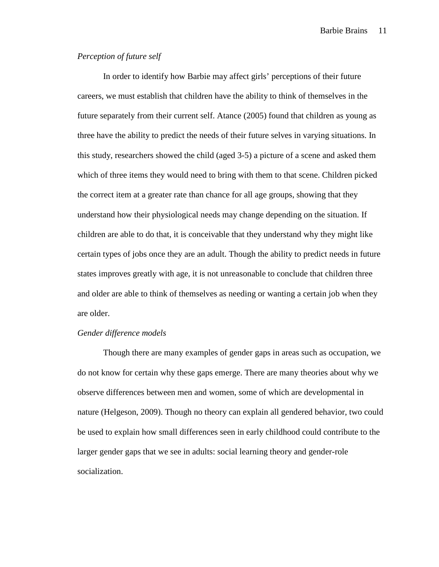Barbie Brains 11

# *Perception of future self*

In order to identify how Barbie may affect girls' perceptions of their future careers, we must establish that children have the ability to think of themselves in the future separately from their current self. Atance (2005) found that children as young as three have the ability to predict the needs of their future selves in varying situations. In this study, researchers showed the child (aged 3-5) a picture of a scene and asked them which of three items they would need to bring with them to that scene. Children picked the correct item at a greater rate than chance for all age groups, showing that they understand how their physiological needs may change depending on the situation. If children are able to do that, it is conceivable that they understand why they might like certain types of jobs once they are an adult. Though the ability to predict needs in future states improves greatly with age, it is not unreasonable to conclude that children three and older are able to think of themselves as needing or wanting a certain job when they are older.

#### *Gender difference models*

Though there are many examples of gender gaps in areas such as occupation, we do not know for certain why these gaps emerge. There are many theories about why we observe differences between men and women, some of which are developmental in nature (Helgeson, 2009). Though no theory can explain all gendered behavior, two could be used to explain how small differences seen in early childhood could contribute to the larger gender gaps that we see in adults: social learning theory and gender-role socialization.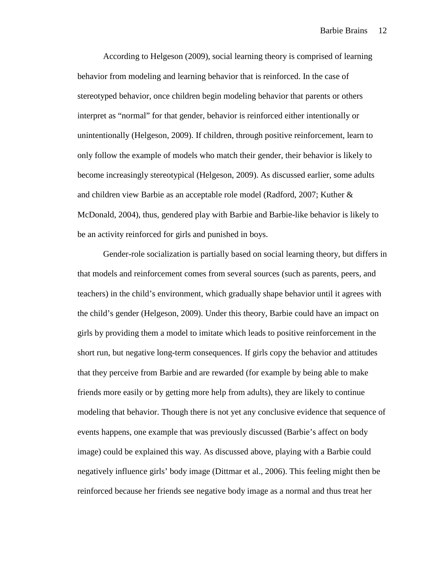According to Helgeson (2009), social learning theory is comprised of learning behavior from modeling and learning behavior that is reinforced. In the case of stereotyped behavior, once children begin modeling behavior that parents or others interpret as "normal" for that gender, behavior is reinforced either intentionally or unintentionally (Helgeson, 2009). If children, through positive reinforcement, learn to only follow the example of models who match their gender, their behavior is likely to become increasingly stereotypical (Helgeson, 2009). As discussed earlier, some adults and children view Barbie as an acceptable role model (Radford, 2007; Kuther & McDonald, 2004), thus, gendered play with Barbie and Barbie-like behavior is likely to be an activity reinforced for girls and punished in boys.

 Gender-role socialization is partially based on social learning theory, but differs in that models and reinforcement comes from several sources (such as parents, peers, and teachers) in the child's environment, which gradually shape behavior until it agrees with the child's gender (Helgeson, 2009). Under this theory, Barbie could have an impact on girls by providing them a model to imitate which leads to positive reinforcement in the short run, but negative long-term consequences. If girls copy the behavior and attitudes that they perceive from Barbie and are rewarded (for example by being able to make friends more easily or by getting more help from adults), they are likely to continue modeling that behavior. Though there is not yet any conclusive evidence that sequence of events happens, one example that was previously discussed (Barbie's affect on body image) could be explained this way. As discussed above, playing with a Barbie could negatively influence girls' body image (Dittmar et al., 2006). This feeling might then be reinforced because her friends see negative body image as a normal and thus treat her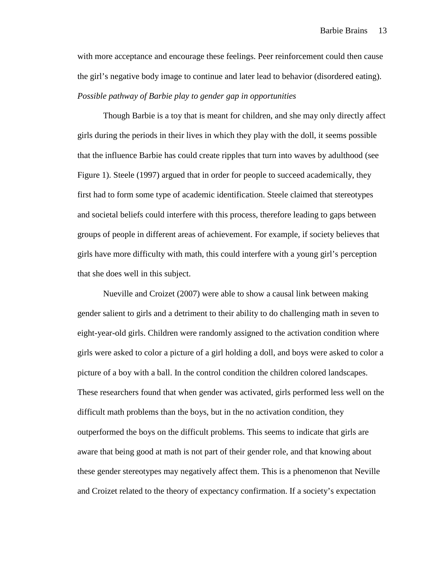with more acceptance and encourage these feelings. Peer reinforcement could then cause the girl's negative body image to continue and later lead to behavior (disordered eating). *Possible pathway of Barbie play to gender gap in opportunities* 

 Though Barbie is a toy that is meant for children, and she may only directly affect girls during the periods in their lives in which they play with the doll, it seems possible that the influence Barbie has could create ripples that turn into waves by adulthood (see Figure 1). Steele (1997) argued that in order for people to succeed academically, they first had to form some type of academic identification. Steele claimed that stereotypes and societal beliefs could interfere with this process, therefore leading to gaps between groups of people in different areas of achievement. For example, if society believes that girls have more difficulty with math, this could interfere with a young girl's perception that she does well in this subject.

 Nueville and Croizet (2007) were able to show a causal link between making gender salient to girls and a detriment to their ability to do challenging math in seven to eight-year-old girls. Children were randomly assigned to the activation condition where girls were asked to color a picture of a girl holding a doll, and boys were asked to color a picture of a boy with a ball. In the control condition the children colored landscapes. These researchers found that when gender was activated, girls performed less well on the difficult math problems than the boys, but in the no activation condition, they outperformed the boys on the difficult problems. This seems to indicate that girls are aware that being good at math is not part of their gender role, and that knowing about these gender stereotypes may negatively affect them. This is a phenomenon that Neville and Croizet related to the theory of expectancy confirmation. If a society's expectation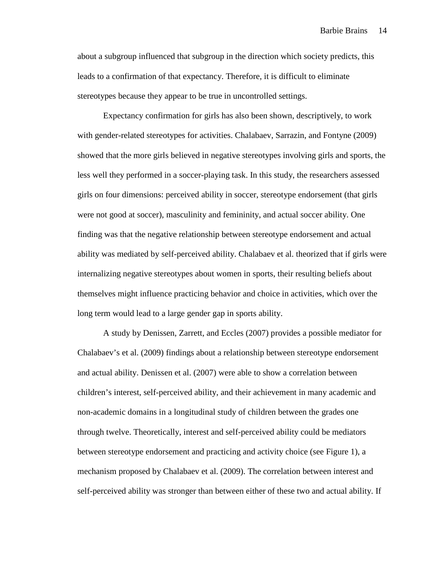Barbie Brains 14

about a subgroup influenced that subgroup in the direction which society predicts, this leads to a confirmation of that expectancy. Therefore, it is difficult to eliminate stereotypes because they appear to be true in uncontrolled settings.

Expectancy confirmation for girls has also been shown, descriptively, to work with gender-related stereotypes for activities. Chalabaev, Sarrazin, and Fontyne (2009) showed that the more girls believed in negative stereotypes involving girls and sports, the less well they performed in a soccer-playing task. In this study, the researchers assessed girls on four dimensions: perceived ability in soccer, stereotype endorsement (that girls were not good at soccer), masculinity and femininity, and actual soccer ability. One finding was that the negative relationship between stereotype endorsement and actual ability was mediated by self-perceived ability. Chalabaev et al. theorized that if girls were internalizing negative stereotypes about women in sports, their resulting beliefs about themselves might influence practicing behavior and choice in activities, which over the long term would lead to a large gender gap in sports ability.

A study by Denissen, Zarrett, and Eccles (2007) provides a possible mediator for Chalabaev's et al. (2009) findings about a relationship between stereotype endorsement and actual ability. Denissen et al. (2007) were able to show a correlation between children's interest, self-perceived ability, and their achievement in many academic and non-academic domains in a longitudinal study of children between the grades one through twelve. Theoretically, interest and self-perceived ability could be mediators between stereotype endorsement and practicing and activity choice (see Figure 1), a mechanism proposed by Chalabaev et al. (2009). The correlation between interest and self-perceived ability was stronger than between either of these two and actual ability. If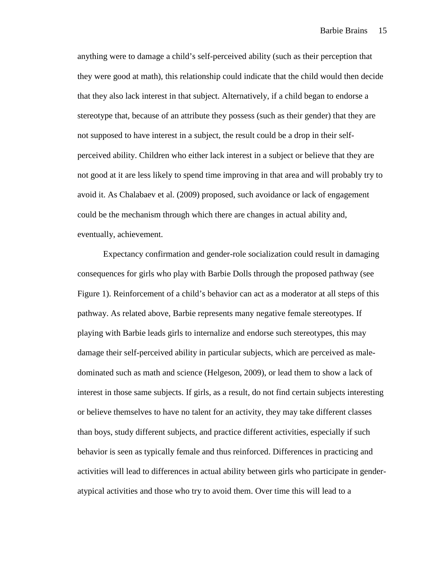anything were to damage a child's self-perceived ability (such as their perception that they were good at math), this relationship could indicate that the child would then decide that they also lack interest in that subject. Alternatively, if a child began to endorse a stereotype that, because of an attribute they possess (such as their gender) that they are not supposed to have interest in a subject, the result could be a drop in their selfperceived ability. Children who either lack interest in a subject or believe that they are not good at it are less likely to spend time improving in that area and will probably try to avoid it. As Chalabaev et al. (2009) proposed, such avoidance or lack of engagement could be the mechanism through which there are changes in actual ability and, eventually, achievement.

 Expectancy confirmation and gender-role socialization could result in damaging consequences for girls who play with Barbie Dolls through the proposed pathway (see Figure 1). Reinforcement of a child's behavior can act as a moderator at all steps of this pathway. As related above, Barbie represents many negative female stereotypes. If playing with Barbie leads girls to internalize and endorse such stereotypes, this may damage their self-perceived ability in particular subjects, which are perceived as maledominated such as math and science (Helgeson, 2009), or lead them to show a lack of interest in those same subjects. If girls, as a result, do not find certain subjects interesting or believe themselves to have no talent for an activity, they may take different classes than boys, study different subjects, and practice different activities, especially if such behavior is seen as typically female and thus reinforced. Differences in practicing and activities will lead to differences in actual ability between girls who participate in genderatypical activities and those who try to avoid them. Over time this will lead to a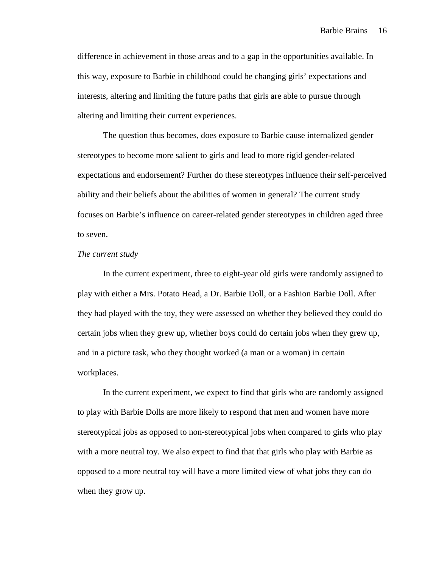difference in achievement in those areas and to a gap in the opportunities available. In this way, exposure to Barbie in childhood could be changing girls' expectations and interests, altering and limiting the future paths that girls are able to pursue through altering and limiting their current experiences.

The question thus becomes, does exposure to Barbie cause internalized gender stereotypes to become more salient to girls and lead to more rigid gender-related expectations and endorsement? Further do these stereotypes influence their self-perceived ability and their beliefs about the abilities of women in general? The current study focuses on Barbie's influence on career-related gender stereotypes in children aged three to seven.

#### *The current study*

 In the current experiment, three to eight-year old girls were randomly assigned to play with either a Mrs. Potato Head, a Dr. Barbie Doll, or a Fashion Barbie Doll. After they had played with the toy, they were assessed on whether they believed they could do certain jobs when they grew up, whether boys could do certain jobs when they grew up, and in a picture task, who they thought worked (a man or a woman) in certain workplaces.

In the current experiment, we expect to find that girls who are randomly assigned to play with Barbie Dolls are more likely to respond that men and women have more stereotypical jobs as opposed to non-stereotypical jobs when compared to girls who play with a more neutral toy. We also expect to find that that girls who play with Barbie as opposed to a more neutral toy will have a more limited view of what jobs they can do when they grow up.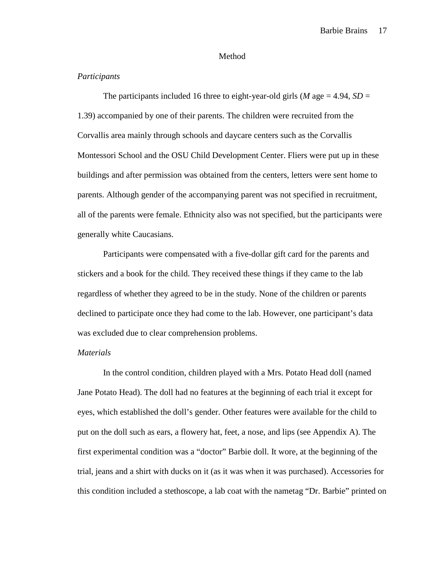#### Method

## *Participants*

The participants included 16 three to eight-year-old girls (*M* age = 4.94, *SD* = 1.39) accompanied by one of their parents. The children were recruited from the Corvallis area mainly through schools and daycare centers such as the Corvallis Montessori School and the OSU Child Development Center. Fliers were put up in these buildings and after permission was obtained from the centers, letters were sent home to parents. Although gender of the accompanying parent was not specified in recruitment, all of the parents were female. Ethnicity also was not specified, but the participants were generally white Caucasians.

Participants were compensated with a five-dollar gift card for the parents and stickers and a book for the child. They received these things if they came to the lab regardless of whether they agreed to be in the study. None of the children or parents declined to participate once they had come to the lab. However, one participant's data was excluded due to clear comprehension problems.

#### *Materials*

 In the control condition, children played with a Mrs. Potato Head doll (named Jane Potato Head). The doll had no features at the beginning of each trial it except for eyes, which established the doll's gender. Other features were available for the child to put on the doll such as ears, a flowery hat, feet, a nose, and lips (see Appendix A). The first experimental condition was a "doctor" Barbie doll. It wore, at the beginning of the trial, jeans and a shirt with ducks on it (as it was when it was purchased). Accessories for this condition included a stethoscope, a lab coat with the nametag "Dr. Barbie" printed on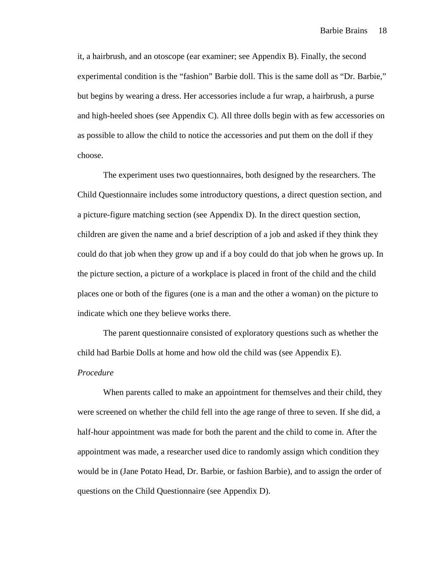it, a hairbrush, and an otoscope (ear examiner; see Appendix B). Finally, the second experimental condition is the "fashion" Barbie doll. This is the same doll as "Dr. Barbie," but begins by wearing a dress. Her accessories include a fur wrap, a hairbrush, a purse and high-heeled shoes (see Appendix C). All three dolls begin with as few accessories on as possible to allow the child to notice the accessories and put them on the doll if they choose.

 The experiment uses two questionnaires, both designed by the researchers. The Child Questionnaire includes some introductory questions, a direct question section, and a picture-figure matching section (see Appendix D). In the direct question section, children are given the name and a brief description of a job and asked if they think they could do that job when they grow up and if a boy could do that job when he grows up. In the picture section, a picture of a workplace is placed in front of the child and the child places one or both of the figures (one is a man and the other a woman) on the picture to indicate which one they believe works there.

 The parent questionnaire consisted of exploratory questions such as whether the child had Barbie Dolls at home and how old the child was (see Appendix E).

#### *Procedure*

When parents called to make an appointment for themselves and their child, they were screened on whether the child fell into the age range of three to seven. If she did, a half-hour appointment was made for both the parent and the child to come in. After the appointment was made, a researcher used dice to randomly assign which condition they would be in (Jane Potato Head, Dr. Barbie, or fashion Barbie), and to assign the order of questions on the Child Questionnaire (see Appendix D).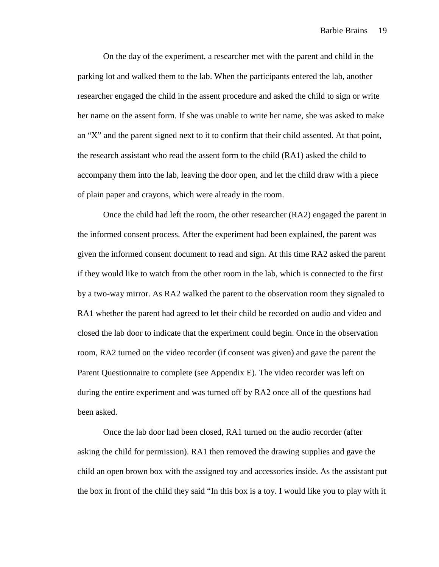On the day of the experiment, a researcher met with the parent and child in the parking lot and walked them to the lab. When the participants entered the lab, another researcher engaged the child in the assent procedure and asked the child to sign or write her name on the assent form*.* If she was unable to write her name, she was asked to make an "X" and the parent signed next to it to confirm that their child assented. At that point, the research assistant who read the assent form to the child (RA1) asked the child to accompany them into the lab, leaving the door open, and let the child draw with a piece of plain paper and crayons, which were already in the room.

Once the child had left the room, the other researcher (RA2) engaged the parent in the informed consent process. After the experiment had been explained, the parent was given the informed consent document to read and sign. At this time RA2 asked the parent if they would like to watch from the other room in the lab, which is connected to the first by a two-way mirror. As RA2 walked the parent to the observation room they signaled to RA1 whether the parent had agreed to let their child be recorded on audio and video and closed the lab door to indicate that the experiment could begin. Once in the observation room, RA2 turned on the video recorder (if consent was given) and gave the parent the Parent Questionnaire to complete (see Appendix E). The video recorder was left on during the entire experiment and was turned off by RA2 once all of the questions had been asked.

Once the lab door had been closed, RA1 turned on the audio recorder (after asking the child for permission). RA1 then removed the drawing supplies and gave the child an open brown box with the assigned toy and accessories inside. As the assistant put the box in front of the child they said "In this box is a toy. I would like you to play with it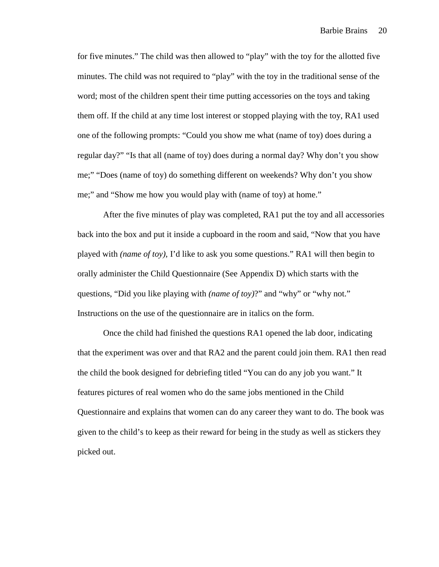for five minutes." The child was then allowed to "play" with the toy for the allotted five minutes. The child was not required to "play" with the toy in the traditional sense of the word; most of the children spent their time putting accessories on the toys and taking them off. If the child at any time lost interest or stopped playing with the toy, RA1 used one of the following prompts: "Could you show me what (name of toy) does during a regular day?" "Is that all (name of toy) does during a normal day? Why don't you show me;" "Does (name of toy) do something different on weekends? Why don't you show me;" and "Show me how you would play with (name of toy) at home."

After the five minutes of play was completed, RA1 put the toy and all accessories back into the box and put it inside a cupboard in the room and said, "Now that you have played with *(name of toy)*, I'd like to ask you some questions." RA1 will then begin to orally administer the Child Questionnaire (See Appendix D) which starts with the questions, "Did you like playing with *(name of toy)*?" and "why" or "why not." Instructions on the use of the questionnaire are in italics on the form.

Once the child had finished the questions RA1 opened the lab door, indicating that the experiment was over and that RA2 and the parent could join them. RA1 then read the child the book designed for debriefing titled "You can do any job you want." It features pictures of real women who do the same jobs mentioned in the Child Questionnaire and explains that women can do any career they want to do. The book was given to the child's to keep as their reward for being in the study as well as stickers they picked out.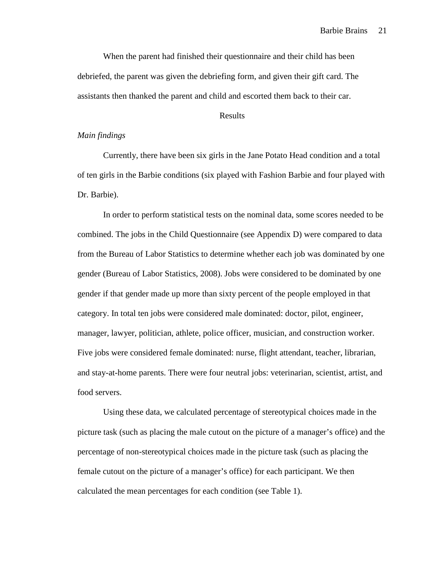When the parent had finished their questionnaire and their child has been debriefed, the parent was given the debriefing form, and given their gift card. The assistants then thanked the parent and child and escorted them back to their car.

## Results

## *Main findings*

Currently, there have been six girls in the Jane Potato Head condition and a total of ten girls in the Barbie conditions (six played with Fashion Barbie and four played with Dr. Barbie).

In order to perform statistical tests on the nominal data, some scores needed to be combined. The jobs in the Child Questionnaire (see Appendix D) were compared to data from the Bureau of Labor Statistics to determine whether each job was dominated by one gender (Bureau of Labor Statistics, 2008). Jobs were considered to be dominated by one gender if that gender made up more than sixty percent of the people employed in that category. In total ten jobs were considered male dominated: doctor, pilot, engineer, manager, lawyer, politician, athlete, police officer, musician, and construction worker. Five jobs were considered female dominated: nurse, flight attendant, teacher, librarian, and stay-at-home parents. There were four neutral jobs: veterinarian, scientist, artist, and food servers.

Using these data, we calculated percentage of stereotypical choices made in the picture task (such as placing the male cutout on the picture of a manager's office) and the percentage of non-stereotypical choices made in the picture task (such as placing the female cutout on the picture of a manager's office) for each participant. We then calculated the mean percentages for each condition (see Table 1).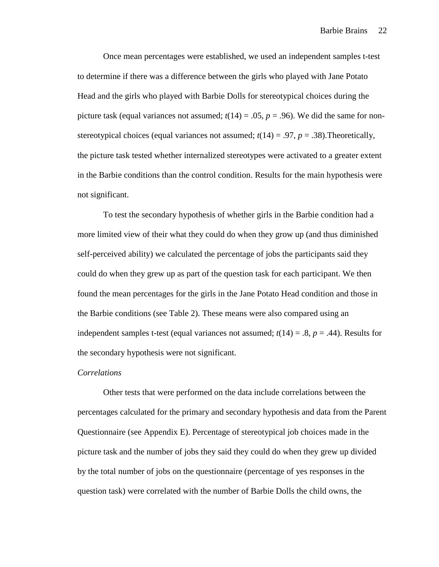Once mean percentages were established, we used an independent samples t-test to determine if there was a difference between the girls who played with Jane Potato Head and the girls who played with Barbie Dolls for stereotypical choices during the picture task (equal variances not assumed;  $t(14) = .05$ ,  $p = .96$ ). We did the same for nonstereotypical choices (equal variances not assumed;  $t(14) = .97$ ,  $p = .38$ ). Theoretically, the picture task tested whether internalized stereotypes were activated to a greater extent in the Barbie conditions than the control condition. Results for the main hypothesis were not significant.

 To test the secondary hypothesis of whether girls in the Barbie condition had a more limited view of their what they could do when they grow up (and thus diminished self-perceived ability) we calculated the percentage of jobs the participants said they could do when they grew up as part of the question task for each participant. We then found the mean percentages for the girls in the Jane Potato Head condition and those in the Barbie conditions (see Table 2). These means were also compared using an independent samples t-test (equal variances not assumed;  $t(14) = .8$ ,  $p = .44$ ). Results for the secondary hypothesis were not significant.

### *Correlations*

Other tests that were performed on the data include correlations between the percentages calculated for the primary and secondary hypothesis and data from the Parent Questionnaire (see Appendix E). Percentage of stereotypical job choices made in the picture task and the number of jobs they said they could do when they grew up divided by the total number of jobs on the questionnaire (percentage of yes responses in the question task) were correlated with the number of Barbie Dolls the child owns, the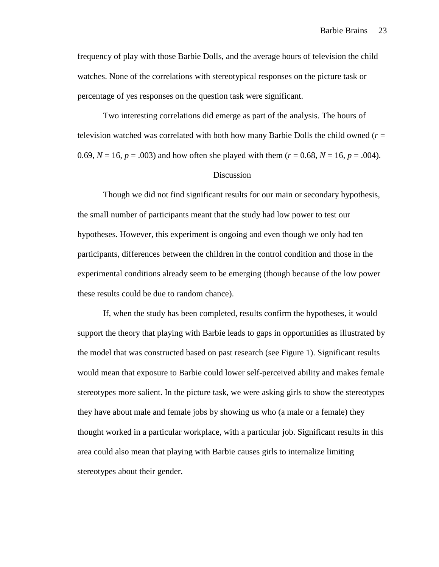frequency of play with those Barbie Dolls, and the average hours of television the child watches. None of the correlations with stereotypical responses on the picture task or percentage of yes responses on the question task were significant.

Two interesting correlations did emerge as part of the analysis. The hours of television watched was correlated with both how many Barbie Dolls the child owned (*r* = 0.69,  $N = 16$ ,  $p = .003$ ) and how often she played with them ( $r = 0.68$ ,  $N = 16$ ,  $p = .004$ ).

# Discussion

 Though we did not find significant results for our main or secondary hypothesis, the small number of participants meant that the study had low power to test our hypotheses. However, this experiment is ongoing and even though we only had ten participants, differences between the children in the control condition and those in the experimental conditions already seem to be emerging (though because of the low power these results could be due to random chance).

 If, when the study has been completed, results confirm the hypotheses, it would support the theory that playing with Barbie leads to gaps in opportunities as illustrated by the model that was constructed based on past research (see Figure 1). Significant results would mean that exposure to Barbie could lower self-perceived ability and makes female stereotypes more salient. In the picture task, we were asking girls to show the stereotypes they have about male and female jobs by showing us who (a male or a female) they thought worked in a particular workplace, with a particular job. Significant results in this area could also mean that playing with Barbie causes girls to internalize limiting stereotypes about their gender.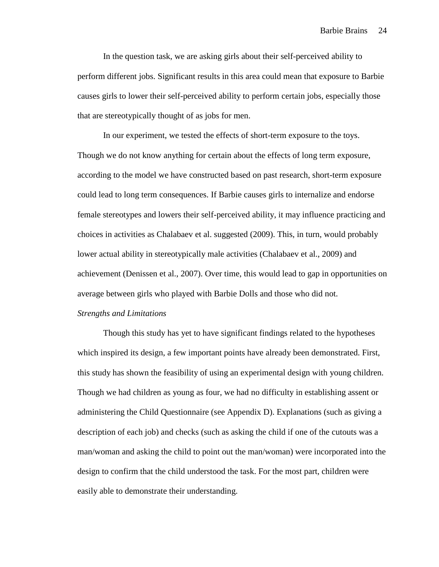In the question task, we are asking girls about their self-perceived ability to perform different jobs. Significant results in this area could mean that exposure to Barbie causes girls to lower their self-perceived ability to perform certain jobs, especially those that are stereotypically thought of as jobs for men.

In our experiment, we tested the effects of short-term exposure to the toys. Though we do not know anything for certain about the effects of long term exposure, according to the model we have constructed based on past research, short-term exposure could lead to long term consequences. If Barbie causes girls to internalize and endorse female stereotypes and lowers their self-perceived ability, it may influence practicing and choices in activities as Chalabaev et al. suggested (2009). This, in turn, would probably lower actual ability in stereotypically male activities (Chalabaev et al., 2009) and achievement (Denissen et al., 2007). Over time, this would lead to gap in opportunities on average between girls who played with Barbie Dolls and those who did not. *Strengths and Limitations* 

 Though this study has yet to have significant findings related to the hypotheses which inspired its design, a few important points have already been demonstrated. First, this study has shown the feasibility of using an experimental design with young children. Though we had children as young as four, we had no difficulty in establishing assent or administering the Child Questionnaire (see Appendix D). Explanations (such as giving a description of each job) and checks (such as asking the child if one of the cutouts was a man/woman and asking the child to point out the man/woman) were incorporated into the design to confirm that the child understood the task. For the most part, children were easily able to demonstrate their understanding.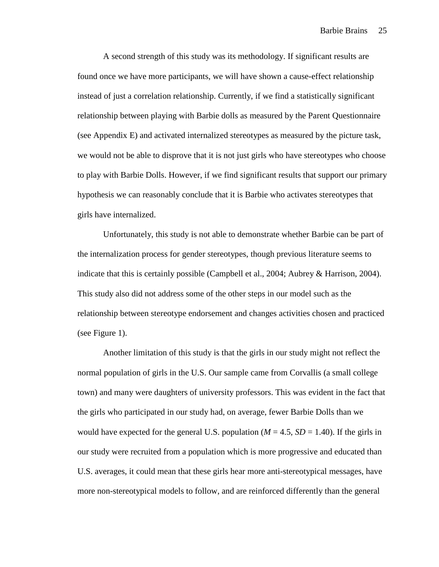A second strength of this study was its methodology. If significant results are found once we have more participants, we will have shown a cause-effect relationship instead of just a correlation relationship. Currently, if we find a statistically significant relationship between playing with Barbie dolls as measured by the Parent Questionnaire (see Appendix E) and activated internalized stereotypes as measured by the picture task, we would not be able to disprove that it is not just girls who have stereotypes who choose to play with Barbie Dolls. However, if we find significant results that support our primary hypothesis we can reasonably conclude that it is Barbie who activates stereotypes that girls have internalized.

Unfortunately, this study is not able to demonstrate whether Barbie can be part of the internalization process for gender stereotypes, though previous literature seems to indicate that this is certainly possible (Campbell et al., 2004; Aubrey & Harrison, 2004). This study also did not address some of the other steps in our model such as the relationship between stereotype endorsement and changes activities chosen and practiced (see Figure 1).

Another limitation of this study is that the girls in our study might not reflect the normal population of girls in the U.S. Our sample came from Corvallis (a small college town) and many were daughters of university professors. This was evident in the fact that the girls who participated in our study had, on average, fewer Barbie Dolls than we would have expected for the general U.S. population  $(M = 4.5, SD = 1.40)$ . If the girls in our study were recruited from a population which is more progressive and educated than U.S. averages, it could mean that these girls hear more anti-stereotypical messages, have more non-stereotypical models to follow, and are reinforced differently than the general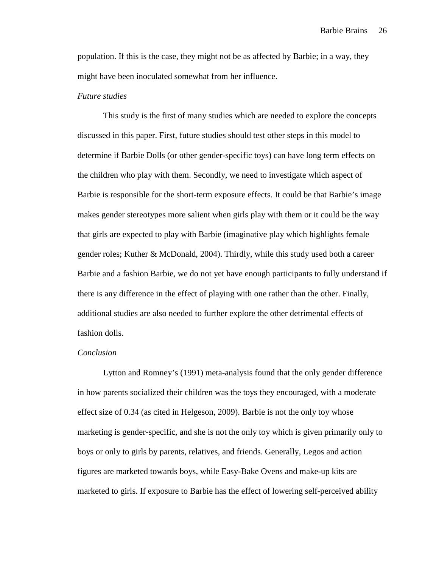population. If this is the case, they might not be as affected by Barbie; in a way, they might have been inoculated somewhat from her influence.

## *Future studies*

This study is the first of many studies which are needed to explore the concepts discussed in this paper. First, future studies should test other steps in this model to determine if Barbie Dolls (or other gender-specific toys) can have long term effects on the children who play with them. Secondly, we need to investigate which aspect of Barbie is responsible for the short-term exposure effects. It could be that Barbie's image makes gender stereotypes more salient when girls play with them or it could be the way that girls are expected to play with Barbie (imaginative play which highlights female gender roles; Kuther & McDonald, 2004). Thirdly, while this study used both a career Barbie and a fashion Barbie, we do not yet have enough participants to fully understand if there is any difference in the effect of playing with one rather than the other. Finally, additional studies are also needed to further explore the other detrimental effects of fashion dolls.

#### *Conclusion*

Lytton and Romney's (1991) meta-analysis found that the only gender difference in how parents socialized their children was the toys they encouraged, with a moderate effect size of 0.34 (as cited in Helgeson, 2009). Barbie is not the only toy whose marketing is gender-specific, and she is not the only toy which is given primarily only to boys or only to girls by parents, relatives, and friends. Generally, Legos and action figures are marketed towards boys, while Easy-Bake Ovens and make-up kits are marketed to girls. If exposure to Barbie has the effect of lowering self-perceived ability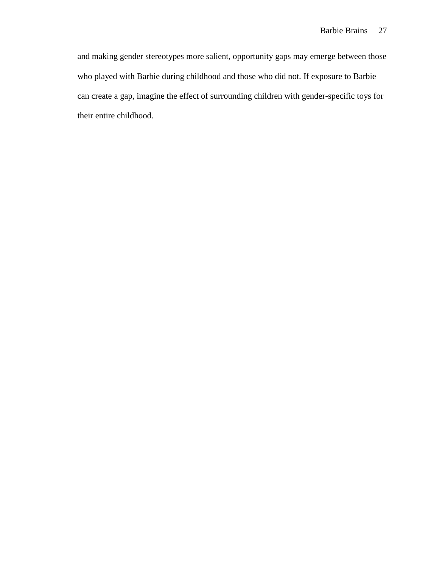and making gender stereotypes more salient, opportunity gaps may emerge between those who played with Barbie during childhood and those who did not. If exposure to Barbie can create a gap, imagine the effect of surrounding children with gender-specific toys for their entire childhood.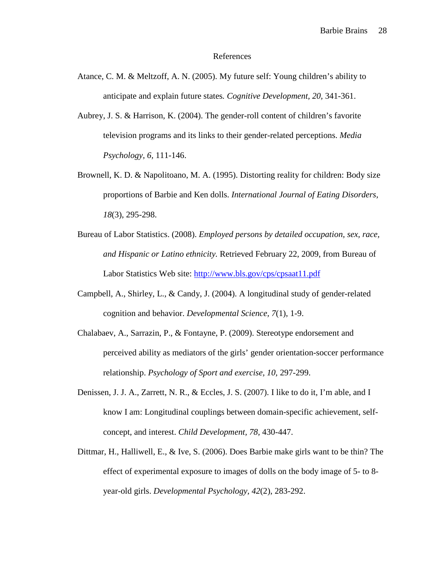#### References

- Atance, C. M. & Meltzoff, A. N. (2005). My future self: Young children's ability to anticipate and explain future states*. Cognitive Development, 20,* 341-361.
- Aubrey, J. S. & Harrison, K. (2004). The gender-roll content of children's favorite television programs and its links to their gender-related perceptions. *Media Psychology, 6,* 111-146.
- Brownell, K. D. & Napolitoano, M. A. (1995). Distorting reality for children: Body size proportions of Barbie and Ken dolls. *International Journal of Eating Disorders, 18*(3), 295-298.
- Bureau of Labor Statistics. (2008). *Employed persons by detailed occupation, sex, race, and Hispanic or Latino ethnicity.* Retrieved February 22, 2009, from Bureau of Labor Statistics Web site: http://www.bls.gov/cps/cpsaat11.pdf
- Campbell, A., Shirley, L., & Candy, J. (2004). A longitudinal study of gender-related cognition and behavior. *Developmental Science, 7*(1), 1-9.
- Chalabaev, A., Sarrazin, P., & Fontayne, P. (2009). Stereotype endorsement and perceived ability as mediators of the girls' gender orientation-soccer performance relationship. *Psychology of Sport and exercise, 10,* 297-299.
- Denissen, J. J. A., Zarrett, N. R., & Eccles, J. S. (2007). I like to do it, I'm able, and I know I am: Longitudinal couplings between domain-specific achievement, selfconcept, and interest. *Child Development, 78,* 430-447.
- Dittmar, H., Halliwell, E., & Ive, S. (2006). Does Barbie make girls want to be thin? The effect of experimental exposure to images of dolls on the body image of 5- to 8 year-old girls. *Developmental Psychology, 42*(2), 283-292.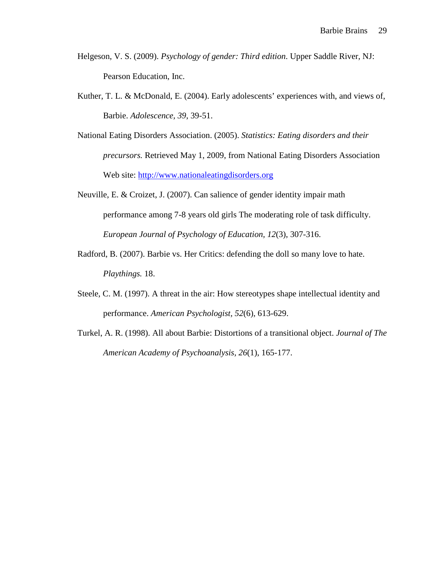- Helgeson, V. S. (2009). *Psychology of gender: Third edition*. Upper Saddle River, NJ: Pearson Education, Inc.
- Kuther, T. L. & McDonald, E. (2004). Early adolescents' experiences with, and views of, Barbie. *Adolescence, 39*, 39-51.
- National Eating Disorders Association. (2005). *Statistics: Eating disorders and their precursors.* Retrieved May 1, 2009, from National Eating Disorders Association Web site: http://www.nationaleatingdisorders.org
- Neuville, E. & Croizet, J. (2007). Can salience of gender identity impair math performance among 7-8 years old girls The moderating role of task difficulty. *European Journal of Psychology of Education, 12*(3), 307-316.
- Radford, B. (2007). Barbie vs. Her Critics: defending the doll so many love to hate. *Playthings.* 18.
- Steele, C. M. (1997). A threat in the air: How stereotypes shape intellectual identity and performance. *American Psychologist, 52*(6), 613-629.
- Turkel, A. R. (1998). All about Barbie: Distortions of a transitional object. *Journal of The American Academy of Psychoanalysis, 26*(1), 165-177.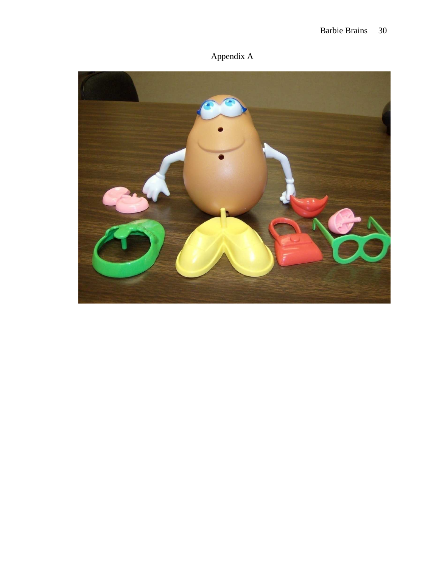# Barbie Brains 30

Appendix A

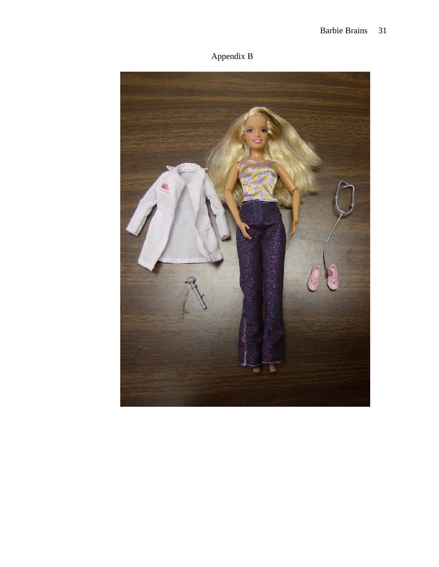Appendix B

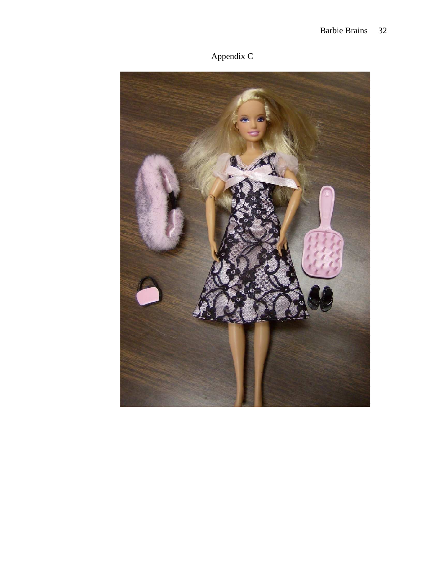

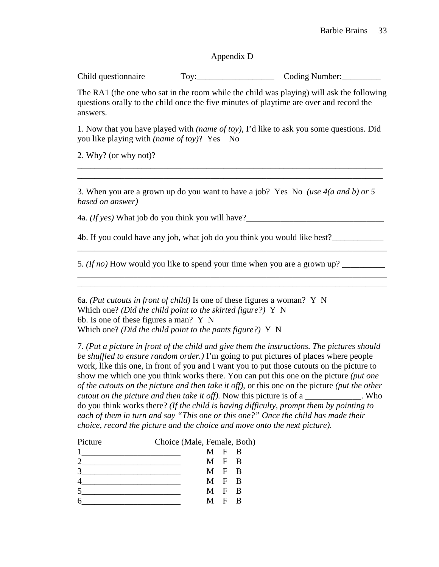# Appendix D

Child questionnaire Toy: Toy: Coding Number:

The RA1 (the one who sat in the room while the child was playing) will ask the following questions orally to the child once the five minutes of playtime are over and record the answers.

1. Now that you have played with *(name of toy)*, I'd like to ask you some questions. Did you like playing with *(name of toy)*? Yes No

\_\_\_\_\_\_\_\_\_\_\_\_\_\_\_\_\_\_\_\_\_\_\_\_\_\_\_\_\_\_\_\_\_\_\_\_\_\_\_\_\_\_\_\_\_\_\_\_\_\_\_\_\_\_\_\_\_\_\_\_\_\_\_\_\_\_\_\_\_\_\_ \_\_\_\_\_\_\_\_\_\_\_\_\_\_\_\_\_\_\_\_\_\_\_\_\_\_\_\_\_\_\_\_\_\_\_\_\_\_\_\_\_\_\_\_\_\_\_\_\_\_\_\_\_\_\_\_\_\_\_\_\_\_\_\_\_\_\_\_\_\_\_

2. Why? (or why not)?

3. When you are a grown up do you want to have a job? Yes No *(use 4(a and b) or 5 based on answer)* 

\_\_\_\_\_\_\_\_\_\_\_\_\_\_\_\_\_\_\_\_\_\_\_\_\_\_\_\_\_\_\_\_\_\_\_\_\_\_\_\_\_\_\_\_\_\_\_\_\_\_\_\_\_\_\_\_\_\_\_\_\_\_\_\_\_\_\_\_\_\_\_\_

\_\_\_\_\_\_\_\_\_\_\_\_\_\_\_\_\_\_\_\_\_\_\_\_\_\_\_\_\_\_\_\_\_\_\_\_\_\_\_\_\_\_\_\_\_\_\_\_\_\_\_\_\_\_\_\_\_\_\_\_\_\_\_\_\_\_\_\_\_\_\_\_

4a*. (If yes)* What job do you think you will have?\_\_\_\_\_\_\_\_\_\_\_\_\_\_\_\_\_\_\_\_\_\_\_\_\_\_\_\_\_\_\_\_

4b. If you could have any job, what job do you think you would like best?

5. *(If no)* How would you like to spend your time when you are a grown up?

6a. *(Put cutouts in front of child)* Is one of these figures a woman? Y N Which one? *(Did the child point to the skirted figure?)* Y N 6b. Is one of these figures a man? Y N Which one? *(Did the child point to the pants figure?)* Y N

7*. (Put a picture in front of the child and give them the instructions. The pictures should be shuffled to ensure random order.)* I'm going to put pictures of places where people work, like this one, in front of you and I want you to put those cutouts on the picture to show me which one you think works there. You can put this one on the picture *(put one of the cutouts on the picture and then take it off)*, or this one on the picture *(put the other cutout on the picture and then take it off).* Now this picture is of a who do you think works there? *(If the child is having difficulty, prompt them by pointing to each of them in turn and say "This one or this one?" Once the child has made their choice, record the picture and the choice and move onto the next picture).* 

| Picture | Choice (Male, Female, Both) |       |  |
|---------|-----------------------------|-------|--|
|         |                             | M F R |  |
|         |                             | M F R |  |
|         |                             | M F R |  |
|         |                             | M F R |  |
|         |                             | M F R |  |
|         | M                           | F R   |  |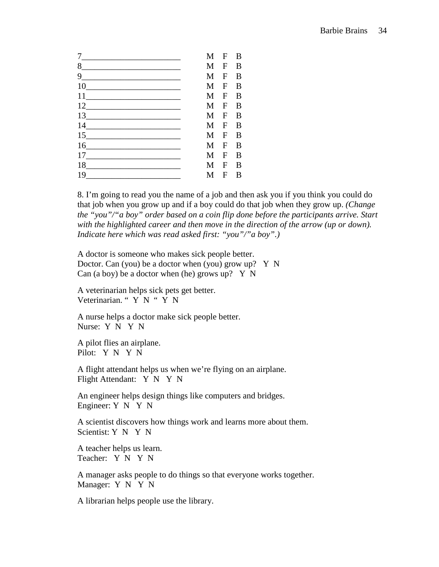|                    | M | $\mathbf{F}$ | B |
|--------------------|---|--------------|---|
| 8                  | M | $\mathbf{F}$ | B |
| $9$ <sub>___</sub> | M | $\mathbf{F}$ | B |
| 10                 | M | $\mathbf{F}$ | B |
| 11                 | M | $\mathbf{F}$ | B |
| 12                 | M | $\mathbf{F}$ | B |
| 13                 | M | $\mathbf{F}$ | B |
| 14 \               | M | $\mathbf{F}$ | B |
|                    | M | $\mathbf F$  | B |
| 16                 | M | $\mathbf{F}$ | B |
| 17                 | M | $\mathbf{F}$ | B |
|                    | M | $\mathbf{F}$ | B |
| 19                 | М | $\mathbf{F}$ | B |

8. I'm going to read you the name of a job and then ask you if you think you could do that job when you grow up and if a boy could do that job when they grow up. *(Change the "you"/"a boy" order based on a coin flip done before the participants arrive. Start*  with the highlighted career and then move in the direction of the arrow (up or down). *Indicate here which was read asked first: "you"/"a boy".)* 

A doctor is someone who makes sick people better. Doctor. Can (you) be a doctor when (you) grow up? Y N Can (a boy) be a doctor when (he) grows up?  $Y \ N$ 

A veterinarian helps sick pets get better. Veterinarian. " Y N " Y N

A nurse helps a doctor make sick people better. Nurse: Y N Y N

A pilot flies an airplane. Pilot: Y N Y N

A flight attendant helps us when we're flying on an airplane. Flight Attendant: Y N Y N

An engineer helps design things like computers and bridges. Engineer: Y N Y N

A scientist discovers how things work and learns more about them. Scientist: Y N Y N

A teacher helps us learn. Teacher: Y N Y N

A manager asks people to do things so that everyone works together. Manager: Y N Y N

A librarian helps people use the library.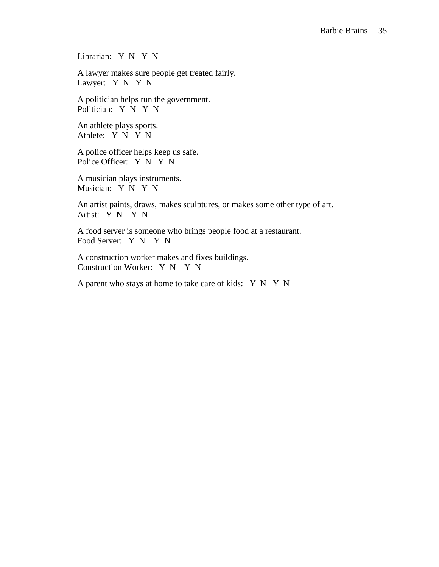Librarian: Y N Y N

A lawyer makes sure people get treated fairly. Lawyer: Y N Y N

A politician helps run the government. Politician: Y N Y N

An athlete plays sports. Athlete: Y N Y N

A police officer helps keep us safe. Police Officer: Y N Y N

A musician plays instruments. Musician: Y N Y N

An artist paints, draws, makes sculptures, or makes some other type of art. Artist: Y N Y N

A food server is someone who brings people food at a restaurant. Food Server: Y N Y N

A construction worker makes and fixes buildings. Construction Worker: Y N Y N

A parent who stays at home to take care of kids: Y N Y N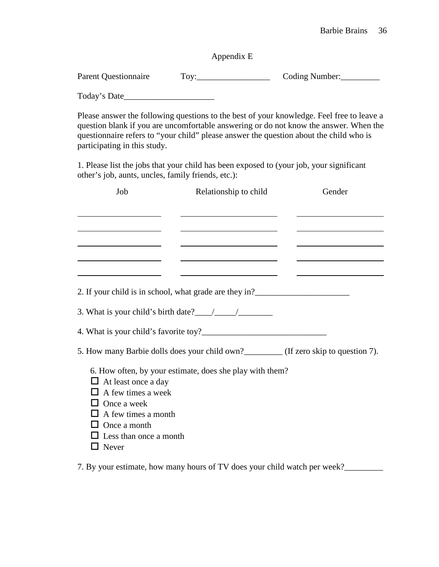# Appendix E

Parent Questionnaire Toy: Tog Coding Number:

Today's Date\_\_\_\_\_\_\_\_\_\_\_\_\_\_\_\_\_\_\_\_\_

Please answer the following questions to the best of your knowledge. Feel free to leave a question blank if you are uncomfortable answering or do not know the answer. When the questionnaire refers to "your child" please answer the question about the child who is participating in this study.

1. Please list the jobs that your child has been exposed to (your job, your significant other's job, aunts, uncles, family friends, etc.):

| Job                                                                                                                                                | Relationship to child | Gender                                                                               |
|----------------------------------------------------------------------------------------------------------------------------------------------------|-----------------------|--------------------------------------------------------------------------------------|
|                                                                                                                                                    |                       |                                                                                      |
|                                                                                                                                                    |                       |                                                                                      |
|                                                                                                                                                    |                       |                                                                                      |
|                                                                                                                                                    |                       |                                                                                      |
| 2. If your child is in school, what grade are they in?<br><u>Letting</u> the same school and the same school of the school what grade are they in? |                       |                                                                                      |
| 3. What is your child's birth date? $\frac{1}{\sqrt{2}}$                                                                                           |                       |                                                                                      |
|                                                                                                                                                    |                       |                                                                                      |
|                                                                                                                                                    |                       | 5. How many Barbie dolls does your child own?_________ (If zero skip to question 7). |
| 6. How often, by your estimate, does she play with them?<br>$\Box$ At least once a day<br>$\Box$ A few times a week                                |                       |                                                                                      |
| $\Box$ Once a week<br>$\Box$ A few times a month                                                                                                   |                       |                                                                                      |
| $\Box$ Once a month<br>Less than once a month                                                                                                      |                       |                                                                                      |
| Never                                                                                                                                              |                       |                                                                                      |

7. By your estimate, how many hours of TV does your child watch per week?\_\_\_\_\_\_\_\_\_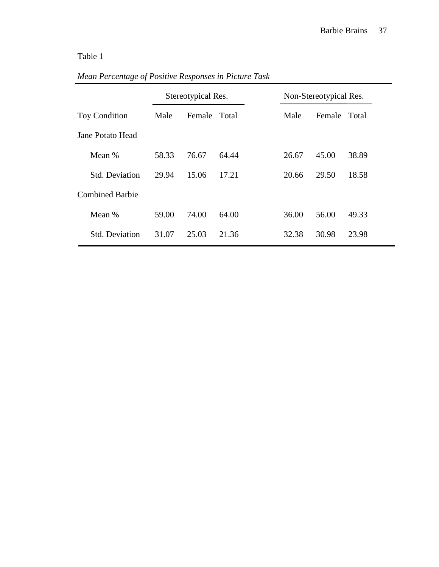# Table 1

|                        | Stereotypical Res. |              | Non-Stereotypical Res. |       |        |       |
|------------------------|--------------------|--------------|------------------------|-------|--------|-------|
| <b>Toy Condition</b>   | Male               | Female Total |                        | Male  | Female | Total |
| Jane Potato Head       |                    |              |                        |       |        |       |
| Mean %                 | 58.33              | 76.67        | 64.44                  | 26.67 | 45.00  | 38.89 |
| <b>Std. Deviation</b>  | 29.94              | 15.06        | 17.21                  | 20.66 | 29.50  | 18.58 |
| <b>Combined Barbie</b> |                    |              |                        |       |        |       |
| Mean %                 | 59.00              | 74.00        | 64.00                  | 36.00 | 56.00  | 49.33 |
| <b>Std. Deviation</b>  | 31.07              | 25.03        | 21.36                  | 32.38 | 30.98  | 23.98 |

# *Mean Percentage of Positive Responses in Picture Task*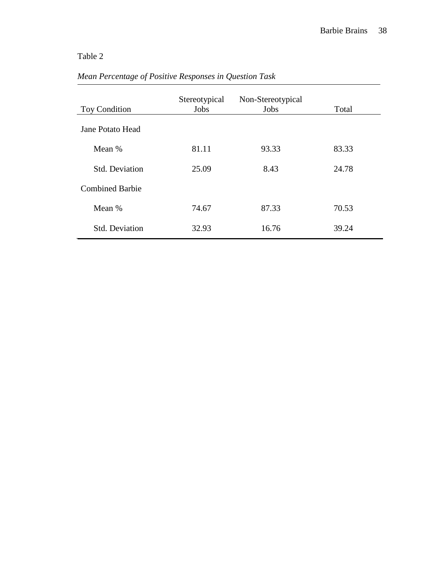# Table 2

| <b>Toy Condition</b>   | Stereotypical<br>Jobs | Non-Stereotypical<br>Jobs | Total |
|------------------------|-----------------------|---------------------------|-------|
| Jane Potato Head       |                       |                           |       |
| Mean %                 | 81.11                 | 93.33                     | 83.33 |
| <b>Std. Deviation</b>  | 25.09                 | 8.43                      | 24.78 |
| <b>Combined Barbie</b> |                       |                           |       |
| Mean %                 | 74.67                 | 87.33                     | 70.53 |
| <b>Std. Deviation</b>  | 32.93                 | 16.76                     | 39.24 |

# *Mean Percentage of Positive Responses in Question Task*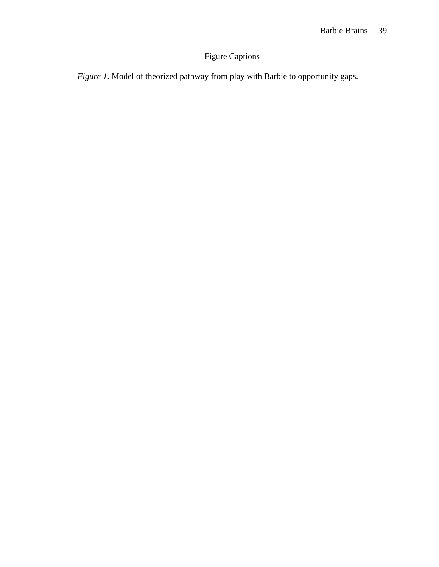# Figure Captions

*Figure 1*. Model of theorized pathway from play with Barbie to opportunity gaps.